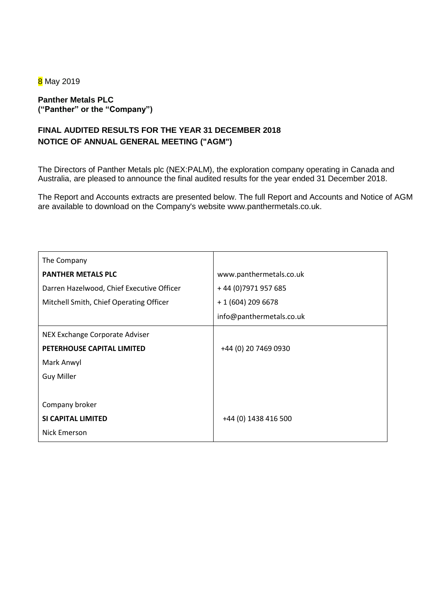8 May 2019

**Panther Metals PLC ("Panther" or the "Company")**

# **FINAL AUDITED RESULTS FOR THE YEAR 31 DECEMBER 2018 NOTICE OF ANNUAL GENERAL MEETING ("AGM")**

The Directors of Panther Metals plc (NEX:PALM), the exploration company operating in Canada and Australia, are pleased to announce the final audited results for the year ended 31 December 2018.

The Report and Accounts extracts are presented below. The full Report and Accounts and Notice of AGM are available to download on the Company's website www.panthermetals.co.uk.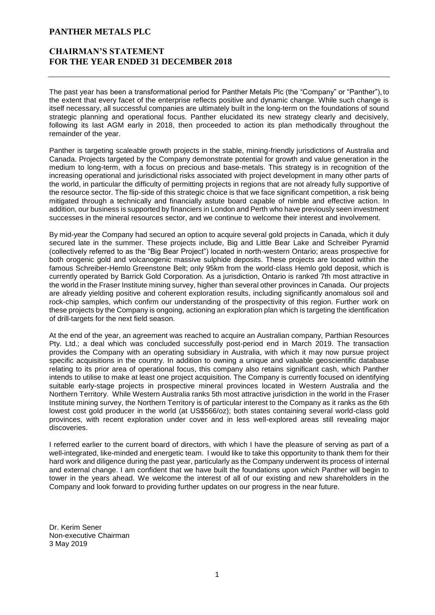# **CHAIRMAN'S STATEMENT FOR THE YEAR ENDED 31 DECEMBER 2018**

The past year has been a transformational period for Panther Metals Plc (the "Company" or "Panther"), to the extent that every facet of the enterprise reflects positive and dynamic change. While such change is itself necessary, all successful companies are ultimately built in the long-term on the foundations of sound strategic planning and operational focus. Panther elucidated its new strategy clearly and decisively, following its last AGM early in 2018, then proceeded to action its plan methodically throughout the remainder of the year.

Panther is targeting scaleable growth projects in the stable, mining-friendly jurisdictions of Australia and Canada. Projects targeted by the Company demonstrate potential for growth and value generation in the medium to long-term, with a focus on precious and base-metals. This strategy is in recognition of the increasing operational and jurisdictional risks associated with project development in many other parts of the world, in particular the difficulty of permitting projects in regions that are not already fully supportive of the resource sector. The flip-side of this strategic choice is that we face significant competition, a risk being mitigated through a technically and financially astute board capable of nimble and effective action. In addition, our business is supported by financiers in London and Perth who have previously seen investment successes in the mineral resources sector, and we continue to welcome their interest and involvement.

By mid-year the Company had secured an option to acquire several gold projects in Canada, which it duly secured late in the summer. These projects include, Big and Little Bear Lake and Schreiber Pyramid (collectively referred to as the "Big Bear Project") located in north-western Ontario; areas prospective for both orogenic gold and volcanogenic massive sulphide deposits. These projects are located within the famous Schreiber-Hemlo Greenstone Belt; only 95km from the world-class Hemlo gold deposit, which is currently operated by Barrick Gold Corporation. As a jurisdiction, Ontario is ranked 7th most attractive in the world in the Fraser Institute mining survey, higher than several other provinces in Canada. Our projects are already yielding positive and coherent exploration results, including significantly anomalous soil and rock-chip samples, which confirm our understanding of the prospectivity of this region. Further work on these projects by the Company is ongoing, actioning an exploration plan which is targeting the identification of drill-targets for the next field season.

At the end of the year, an agreement was reached to acquire an Australian company, Parthian Resources Pty. Ltd.; a deal which was concluded successfully post-period end in March 2019. The transaction provides the Company with an operating subsidiary in Australia, with which it may now pursue project specific acquisitions in the country. In addition to owning a unique and valuable geoscientific database relating to its prior area of operational focus, this company also retains significant cash, which Panther intends to utilise to make at least one project acquisition. The Company is currently focused on identifying suitable early-stage projects in prospective mineral provinces located in Western Australia and the Northern Territory. While Western Australia ranks 5th most attractive jurisdiction in the world in the Fraser Institute mining survey, the Northern Territory is of particular interest to the Company as it ranks as the 6th lowest cost gold producer in the world (at US\$566/oz); both states containing several world-class gold provinces, with recent exploration under cover and in less well-explored areas still revealing major discoveries.

I referred earlier to the current board of directors, with which I have the pleasure of serving as part of a well-integrated, like-minded and energetic team. I would like to take this opportunity to thank them for their hard work and diligence during the past year, particularly as the Company underwent its process of internal and external change. I am confident that we have built the foundations upon which Panther will begin to tower in the years ahead. We welcome the interest of all of our existing and new shareholders in the Company and look forward to providing further updates on our progress in the near future.

Dr. Kerim Sener Non-executive Chairman 3 May 2019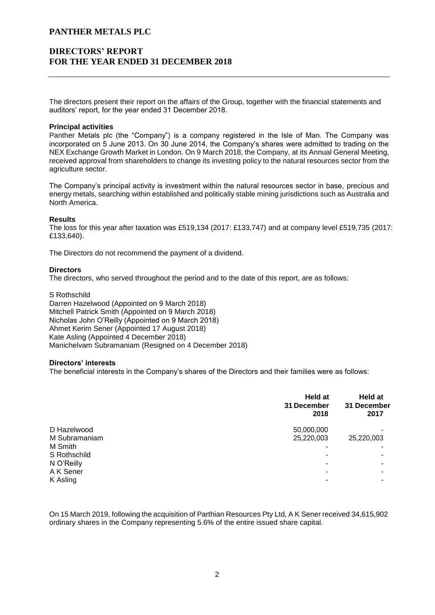# **DIRECTORS' REPORT FOR THE YEAR ENDED 31 DECEMBER 2018**

The directors present their report on the affairs of the Group, together with the financial statements and auditors' report, for the year ended 31 December 2018.

#### **Principal activities**

Panther Metals plc (the "Company") is a company registered in the Isle of Man. The Company was incorporated on 5 June 2013. On 30 June 2014, the Company's shares were admitted to trading on the NEX Exchange Growth Market in London. On 9 March 2018, the Company, at its Annual General Meeting, received approval from shareholders to change its investing policy to the natural resources sector from the agriculture sector.

The Company's principal activity is investment within the natural resources sector in base, precious and energy metals, searching within established and politically stable mining jurisdictions such as Australia and North America.

#### **Results**

The loss for this year after taxation was £519,134 (2017: £133,747) and at company level £519,735 (2017: £133,640).

The Directors do not recommend the payment of a dividend.

## **Directors**

The directors, who served throughout the period and to the date of this report, are as follows:

#### S Rothschild

Darren Hazelwood (Appointed on 9 March 2018) Mitchell Patrick Smith (Appointed on 9 March 2018) Nicholas John O'Reilly (Appointed on 9 March 2018) Ahmet Kerim Sener (Appointed 17 August 2018) Kate Asling (Appointed 4 December 2018) Manichelvam Subramaniam (Resigned on 4 December 2018)

### **Directors' interests**

The beneficial interests in the Company's shares of the Directors and their families were as follows:

|               | <b>Held at</b><br>31 December<br>2018 | <b>Held at</b><br>31 December<br>2017 |
|---------------|---------------------------------------|---------------------------------------|
| D Hazelwood   | 50,000,000                            |                                       |
| M Subramaniam | 25,220,003                            | 25,220,003                            |
| M Smith       |                                       |                                       |
| S Rothschild  |                                       |                                       |
| N O'Reilly    |                                       |                                       |
| A K Sener     |                                       |                                       |
| K Asling      |                                       |                                       |
|               |                                       |                                       |

On 15 March 2019, following the acquisition of Parthian Resources Pty Ltd, A K Sener received 34,615,902 ordinary shares in the Company representing 5.6% of the entire issued share capital.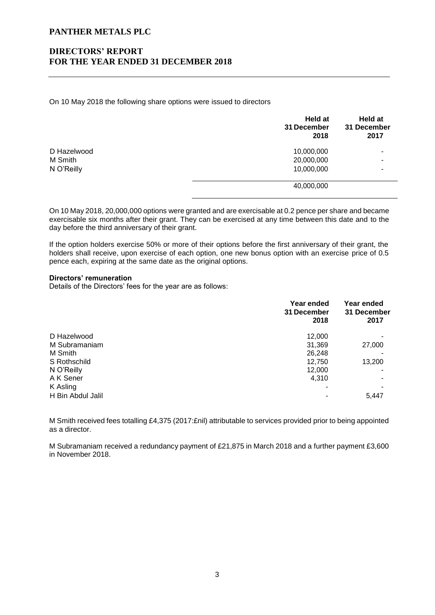# **DIRECTORS' REPORT FOR THE YEAR ENDED 31 DECEMBER 2018**

On 10 May 2018 the following share options were issued to directors

|             | <b>Held at</b><br>31 December<br>2018 | <b>Held at</b><br>31 December<br>2017 |
|-------------|---------------------------------------|---------------------------------------|
| D Hazelwood | 10,000,000                            | ۰                                     |
| M Smith     | 20,000,000                            | ٠                                     |
| N O'Reilly  | 10,000,000                            | ٠                                     |
|             | 40,000,000                            |                                       |
|             |                                       |                                       |

On 10 May 2018, 20,000,000 options were granted and are exercisable at 0.2 pence per share and became exercisable six months after their grant. They can be exercised at any time between this date and to the day before the third anniversary of their grant.

If the option holders exercise 50% or more of their options before the first anniversary of their grant, the holders shall receive, upon exercise of each option, one new bonus option with an exercise price of 0.5 pence each, expiring at the same date as the original options.

### **Directors' remuneration**

Details of the Directors' fees for the year are as follows:

|                   | Year ended<br>31 December<br>2018 | Year ended<br>31 December<br>2017 |
|-------------------|-----------------------------------|-----------------------------------|
| D Hazelwood       | 12,000                            |                                   |
| M Subramaniam     | 31,369                            | 27,000                            |
| M Smith           | 26,248                            |                                   |
| S Rothschild      | 12,750                            | 13,200                            |
| N O'Reilly        | 12,000                            |                                   |
| A K Sener         | 4,310                             |                                   |
| K Asling          |                                   |                                   |
| H Bin Abdul Jalil |                                   | 5,447                             |

M Smith received fees totalling £4,375 (2017:£nil) attributable to services provided prior to being appointed as a director.

M Subramaniam received a redundancy payment of £21,875 in March 2018 and a further payment £3,600 in November 2018.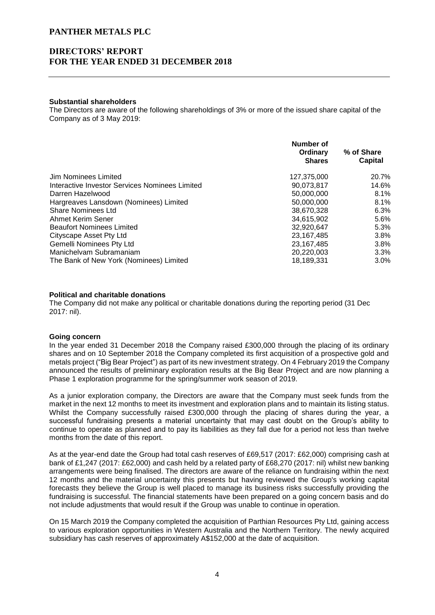# **DIRECTORS' REPORT FOR THE YEAR ENDED 31 DECEMBER 2018**

#### **Substantial shareholders**

The Directors are aware of the following shareholdings of 3% or more of the issued share capital of the Company as of 3 May 2019:

|                                                | Number of<br>Ordinary<br><b>Shares</b> | % of Share<br>Capital |
|------------------------------------------------|----------------------------------------|-----------------------|
| Jim Nominees Limited                           | 127,375,000                            | 20.7%                 |
| Interactive Investor Services Nominees Limited | 90.073.817                             | 14.6%                 |
| Darren Hazelwood                               | 50,000,000                             | 8.1%                  |
| Hargreaves Lansdown (Nominees) Limited         | 50,000,000                             | 8.1%                  |
| Share Nominees Ltd                             | 38,670,328                             | 6.3%                  |
| <b>Ahmet Kerim Sener</b>                       | 34.615.902                             | 5.6%                  |
| <b>Beaufort Nominees Limited</b>               | 32.920.647                             | 5.3%                  |
| Cityscape Asset Pty Ltd                        | 23,167,485                             | 3.8%                  |
| <b>Gemelli Nominees Pty Ltd</b>                | 23,167,485                             | 3.8%                  |
| Manichelvam Subramaniam                        | 20,220,003                             | 3.3%                  |
| The Bank of New York (Nominees) Limited        | 18,189,331                             | 3.0%                  |

### **Political and charitable donations**

The Company did not make any political or charitable donations during the reporting period (31 Dec 2017: nil).

### **Going concern**

In the year ended 31 December 2018 the Company raised £300,000 through the placing of its ordinary shares and on 10 September 2018 the Company completed its first acquisition of a prospective gold and metals project ("Big Bear Project") as part of its new investment strategy. On 4 February 2019 the Company announced the results of preliminary exploration results at the Big Bear Project and are now planning a Phase 1 exploration programme for the spring/summer work season of 2019.

As a junior exploration company, the Directors are aware that the Company must seek funds from the market in the next 12 months to meet its investment and exploration plans and to maintain its listing status. Whilst the Company successfully raised £300,000 through the placing of shares during the year, a successful fundraising presents a material uncertainty that may cast doubt on the Group's ability to continue to operate as planned and to pay its liabilities as they fall due for a period not less than twelve months from the date of this report.

As at the year-end date the Group had total cash reserves of £69,517 (2017: £62,000) comprising cash at bank of £1,247 (2017: £62,000) and cash held by a related party of £68,270 (2017: nil) whilst new banking arrangements were being finalised. The directors are aware of the reliance on fundraising within the next 12 months and the material uncertainty this presents but having reviewed the Group's working capital forecasts they believe the Group is well placed to manage its business risks successfully providing the fundraising is successful. The financial statements have been prepared on a going concern basis and do not include adjustments that would result if the Group was unable to continue in operation.

On 15 March 2019 the Company completed the acquisition of Parthian Resources Pty Ltd, gaining access to various exploration opportunities in Western Australia and the Northern Territory. The newly acquired subsidiary has cash reserves of approximately A\$152,000 at the date of acquisition.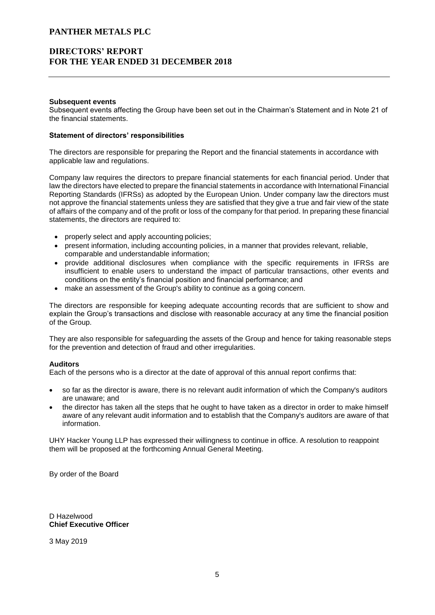# **DIRECTORS' REPORT FOR THE YEAR ENDED 31 DECEMBER 2018**

#### **Subsequent events**

Subsequent events affecting the Group have been set out in the Chairman's Statement and in Note 21 of the financial statements.

#### **Statement of directors' responsibilities**

The directors are responsible for preparing the Report and the financial statements in accordance with applicable law and regulations.

Company law requires the directors to prepare financial statements for each financial period. Under that law the directors have elected to prepare the financial statements in accordance with International Financial Reporting Standards (IFRSs) as adopted by the European Union. Under company law the directors must not approve the financial statements unless they are satisfied that they give a true and fair view of the state of affairs of the company and of the profit or loss of the company for that period. In preparing these financial statements, the directors are required to:

- properly select and apply accounting policies;
- present information, including accounting policies, in a manner that provides relevant, reliable, comparable and understandable information;
- provide additional disclosures when compliance with the specific requirements in IFRSs are insufficient to enable users to understand the impact of particular transactions, other events and conditions on the entity's financial position and financial performance; and
- make an assessment of the Group's ability to continue as a going concern.

The directors are responsible for keeping adequate accounting records that are sufficient to show and explain the Group's transactions and disclose with reasonable accuracy at any time the financial position of the Group.

They are also responsible for safeguarding the assets of the Group and hence for taking reasonable steps for the prevention and detection of fraud and other irregularities.

### **Auditors**

Each of the persons who is a director at the date of approval of this annual report confirms that:

- so far as the director is aware, there is no relevant audit information of which the Company's auditors are unaware; and
- the director has taken all the steps that he ought to have taken as a director in order to make himself aware of any relevant audit information and to establish that the Company's auditors are aware of that information.

UHY Hacker Young LLP has expressed their willingness to continue in office. A resolution to reappoint them will be proposed at the forthcoming Annual General Meeting.

By order of the Board

D Hazelwood **Chief Executive Officer**

3 May 2019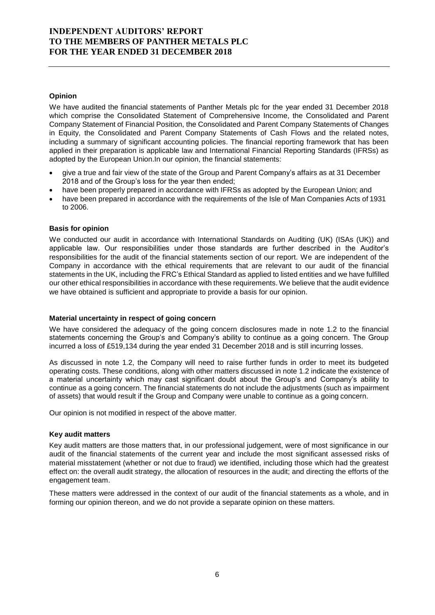## **Opinion**

We have audited the financial statements of Panther Metals plc for the year ended 31 December 2018 which comprise the Consolidated Statement of Comprehensive Income, the Consolidated and Parent Company Statement of Financial Position, the Consolidated and Parent Company Statements of Changes in Equity, the Consolidated and Parent Company Statements of Cash Flows and the related notes, including a summary of significant accounting policies. The financial reporting framework that has been applied in their preparation is applicable law and International Financial Reporting Standards (IFRSs) as adopted by the European Union.In our opinion, the financial statements:

- give a true and fair view of the state of the Group and Parent Company's affairs as at 31 December 2018 and of the Group's loss for the year then ended;
- have been properly prepared in accordance with IFRSs as adopted by the European Union; and
- have been prepared in accordance with the requirements of the Isle of Man Companies Acts of 1931 to 2006.

## **Basis for opinion**

We conducted our audit in accordance with International Standards on Auditing (UK) (ISAs (UK)) and applicable law. Our responsibilities under those standards are further described in the Auditor's responsibilities for the audit of the financial statements section of our report. We are independent of the Company in accordance with the ethical requirements that are relevant to our audit of the financial statements in the UK, including the FRC's Ethical Standard as applied to listed entities and we have fulfilled our other ethical responsibilities in accordance with these requirements. We believe that the audit evidence we have obtained is sufficient and appropriate to provide a basis for our opinion.

## **Material uncertainty in respect of going concern**

We have considered the adequacy of the going concern disclosures made in note 1.2 to the financial statements concerning the Group's and Company's ability to continue as a going concern. The Group incurred a loss of £519,134 during the year ended 31 December 2018 and is still incurring losses.

As discussed in note 1.2, the Company will need to raise further funds in order to meet its budgeted operating costs. These conditions, along with other matters discussed in note 1.2 indicate the existence of a material uncertainty which may cast significant doubt about the Group's and Company's ability to continue as a going concern. The financial statements do not include the adjustments (such as impairment of assets) that would result if the Group and Company were unable to continue as a going concern.

Our opinion is not modified in respect of the above matter.

## **Key audit matters**

Key audit matters are those matters that, in our professional judgement, were of most significance in our audit of the financial statements of the current year and include the most significant assessed risks of material misstatement (whether or not due to fraud) we identified, including those which had the greatest effect on: the overall audit strategy, the allocation of resources in the audit; and directing the efforts of the engagement team.

These matters were addressed in the context of our audit of the financial statements as a whole, and in forming our opinion thereon, and we do not provide a separate opinion on these matters.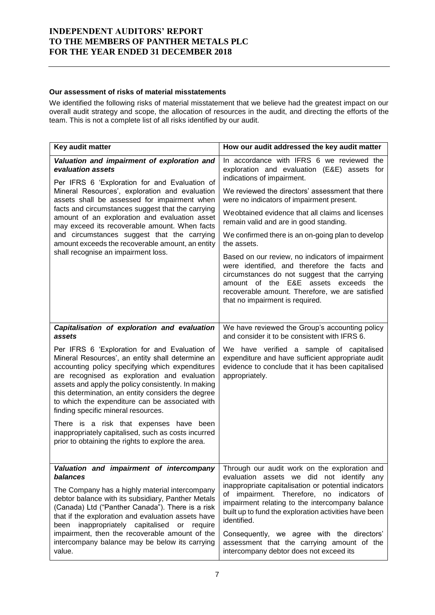# **Our assessment of risks of material misstatements**

We identified the following risks of material misstatement that we believe had the greatest impact on our overall audit strategy and scope, the allocation of resources in the audit, and directing the efforts of the team. This is not a complete list of all risks identified by our audit.

| Key audit matter                                                                                                                                                                                                                                                                                                                                                                                                                                                                                                     | How our audit addressed the key audit matter                                                                                                                                                                                                                                                                                                                                                                                                                                                                                                                                                                                                                                  |  |  |  |
|----------------------------------------------------------------------------------------------------------------------------------------------------------------------------------------------------------------------------------------------------------------------------------------------------------------------------------------------------------------------------------------------------------------------------------------------------------------------------------------------------------------------|-------------------------------------------------------------------------------------------------------------------------------------------------------------------------------------------------------------------------------------------------------------------------------------------------------------------------------------------------------------------------------------------------------------------------------------------------------------------------------------------------------------------------------------------------------------------------------------------------------------------------------------------------------------------------------|--|--|--|
| Valuation and impairment of exploration and<br>evaluation assets<br>Per IFRS 6 'Exploration for and Evaluation of<br>Mineral Resources', exploration and evaluation<br>assets shall be assessed for impairment when<br>facts and circumstances suggest that the carrying<br>amount of an exploration and evaluation asset<br>may exceed its recoverable amount. When facts<br>and circumstances suggest that the carrying<br>amount exceeds the recoverable amount, an entity<br>shall recognise an impairment loss. | In accordance with IFRS 6 we reviewed the<br>exploration and evaluation (E&E) assets for<br>indications of impairment.<br>We reviewed the directors' assessment that there<br>were no indicators of impairment present.<br>Weobtained evidence that all claims and licenses<br>remain valid and are in good standing.<br>We confirmed there is an on-going plan to develop<br>the assets.<br>Based on our review, no indicators of impairment<br>were identified, and therefore the facts and<br>circumstances do not suggest that the carrying<br>amount of the E&E assets exceeds the<br>recoverable amount. Therefore, we are satisfied<br>that no impairment is required. |  |  |  |
| Capitalisation of exploration and evaluation                                                                                                                                                                                                                                                                                                                                                                                                                                                                         | We have reviewed the Group's accounting policy                                                                                                                                                                                                                                                                                                                                                                                                                                                                                                                                                                                                                                |  |  |  |
| assets                                                                                                                                                                                                                                                                                                                                                                                                                                                                                                               | and consider it to be consistent with IFRS 6.                                                                                                                                                                                                                                                                                                                                                                                                                                                                                                                                                                                                                                 |  |  |  |
| Per IFRS 6 'Exploration for and Evaluation of<br>Mineral Resources', an entity shall determine an<br>accounting policy specifying which expenditures<br>are recognised as exploration and evaluation<br>assets and apply the policy consistently. In making<br>this determination, an entity considers the degree<br>to which the expenditure can be associated with<br>finding specific mineral resources.                                                                                                          | We have verified a sample of capitalised<br>expenditure and have sufficient appropriate audit<br>evidence to conclude that it has been capitalised<br>appropriately.                                                                                                                                                                                                                                                                                                                                                                                                                                                                                                          |  |  |  |
| There is a risk that expenses have been<br>inappropriately capitalised, such as costs incurred<br>prior to obtaining the rights to explore the area.                                                                                                                                                                                                                                                                                                                                                                 |                                                                                                                                                                                                                                                                                                                                                                                                                                                                                                                                                                                                                                                                               |  |  |  |
| balances                                                                                                                                                                                                                                                                                                                                                                                                                                                                                                             | Valuation and impairment of intercompany   Through our audit work on the exploration and<br>evaluation assets we did not identify any                                                                                                                                                                                                                                                                                                                                                                                                                                                                                                                                         |  |  |  |
| The Company has a highly material intercompany<br>debtor balance with its subsidiary, Panther Metals<br>(Canada) Ltd ("Panther Canada"). There is a risk<br>that if the exploration and evaluation assets have<br>been inappropriately capitalised or require<br>impairment, then the recoverable amount of the                                                                                                                                                                                                      | inappropriate capitalisation or potential indicators<br>of impairment. Therefore, no indicators of<br>impairment relating to the intercompany balance<br>built up to fund the exploration activities have been<br>identified.<br>Consequently, we agree with the directors'                                                                                                                                                                                                                                                                                                                                                                                                   |  |  |  |
| intercompany balance may be below its carrying<br>value.                                                                                                                                                                                                                                                                                                                                                                                                                                                             | assessment that the carrying amount of the<br>intercompany debtor does not exceed its                                                                                                                                                                                                                                                                                                                                                                                                                                                                                                                                                                                         |  |  |  |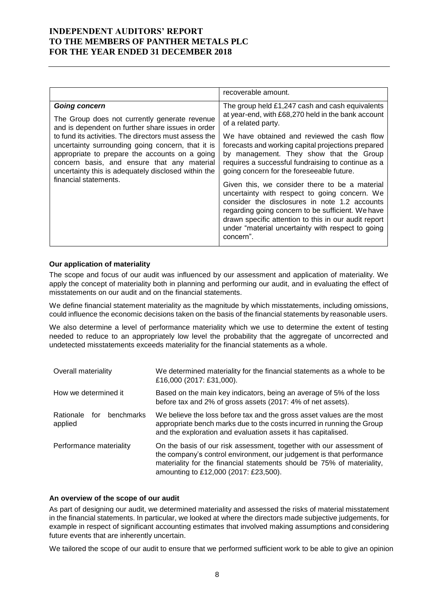|                                                                                                                                                                                                                                                                                                                                                                                                                           | recoverable amount.                                                                                                                                                                                                                                                                                                                                                                                                                                                                                                                                                                                                                                                                                                |
|---------------------------------------------------------------------------------------------------------------------------------------------------------------------------------------------------------------------------------------------------------------------------------------------------------------------------------------------------------------------------------------------------------------------------|--------------------------------------------------------------------------------------------------------------------------------------------------------------------------------------------------------------------------------------------------------------------------------------------------------------------------------------------------------------------------------------------------------------------------------------------------------------------------------------------------------------------------------------------------------------------------------------------------------------------------------------------------------------------------------------------------------------------|
| <b>Going concern</b><br>The Group does not currently generate revenue<br>and is dependent on further share issues in order<br>to fund its activities. The directors must assess the<br>uncertainty surrounding going concern, that it is<br>appropriate to prepare the accounts on a going<br>concern basis, and ensure that any material<br>uncertainty this is adequately disclosed within the<br>financial statements. | The group held £1,247 cash and cash equivalents<br>at year-end, with £68,270 held in the bank account<br>of a related party.<br>We have obtained and reviewed the cash flow<br>forecasts and working capital projections prepared<br>by management. They show that the Group<br>requires a successful fundraising to continue as a<br>going concern for the foreseeable future.<br>Given this, we consider there to be a material<br>uncertainty with respect to going concern. We<br>consider the disclosures in note 1.2 accounts<br>regarding going concern to be sufficient. We have<br>drawn specific attention to this in our audit report<br>under "material uncertainty with respect to going<br>concern". |

## **Our application of materiality**

The scope and focus of our audit was influenced by our assessment and application of materiality. We apply the concept of materiality both in planning and performing our audit, and in evaluating the effect of misstatements on our audit and on the financial statements.

We define financial statement materiality as the magnitude by which misstatements, including omissions, could influence the economic decisions taken on the basis of the financial statements by reasonable users.

We also determine a level of performance materiality which we use to determine the extent of testing needed to reduce to an appropriately low level the probability that the aggregate of uncorrected and undetected misstatements exceeds materiality for the financial statements as a whole.

| Overall materiality                       | We determined materiality for the financial statements as a whole to be<br>£16,000 (2017: £31,000).                                                                                                                                                             |  |  |
|-------------------------------------------|-----------------------------------------------------------------------------------------------------------------------------------------------------------------------------------------------------------------------------------------------------------------|--|--|
| How we determined it                      | Based on the main key indicators, being an average of 5% of the loss<br>before tax and 2% of gross assets (2017: 4% of net assets).                                                                                                                             |  |  |
| Rationale<br>benchmarks<br>for<br>applied | We believe the loss before tax and the gross asset values are the most<br>appropriate bench marks due to the costs incurred in running the Group<br>and the exploration and evaluation assets it has capitalised.                                               |  |  |
| Performance materiality                   | On the basis of our risk assessment, together with our assessment of<br>the company's control environment, our judgement is that performance<br>materiality for the financial statements should be 75% of materiality,<br>amounting to £12,000 (2017: £23,500). |  |  |

## **An overview of the scope of our audit**

As part of designing our audit, we determined materiality and assessed the risks of material misstatement in the financial statements. In particular, we looked at where the directors made subjective judgements, for example in respect of significant accounting estimates that involved making assumptions and considering future events that are inherently uncertain.

We tailored the scope of our audit to ensure that we performed sufficient work to be able to give an opinion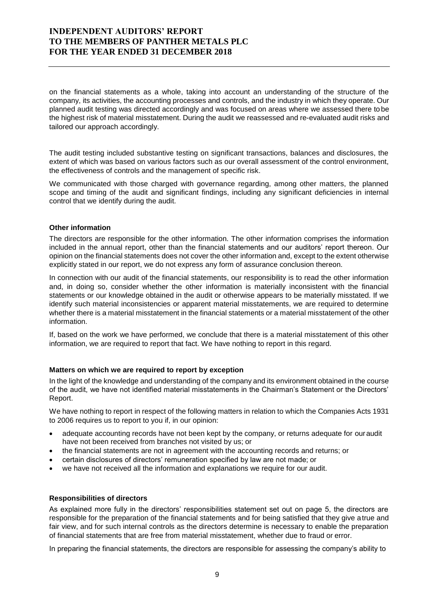on the financial statements as a whole, taking into account an understanding of the structure of the company, its activities, the accounting processes and controls, and the industry in which they operate. Our planned audit testing was directed accordingly and was focused on areas where we assessed there to be the highest risk of material misstatement. During the audit we reassessed and re-evaluated audit risks and tailored our approach accordingly.

The audit testing included substantive testing on significant transactions, balances and disclosures, the extent of which was based on various factors such as our overall assessment of the control environment, the effectiveness of controls and the management of specific risk.

We communicated with those charged with governance regarding, among other matters, the planned scope and timing of the audit and significant findings, including any significant deficiencies in internal control that we identify during the audit.

### **Other information**

The directors are responsible for the other information. The other information comprises the information included in the annual report, other than the financial statements and our auditors' report thereon. Our opinion on the financial statements does not cover the other information and, except to the extent otherwise explicitly stated in our report, we do not express any form of assurance conclusion thereon.

In connection with our audit of the financial statements, our responsibility is to read the other information and, in doing so, consider whether the other information is materially inconsistent with the financial statements or our knowledge obtained in the audit or otherwise appears to be materially misstated. If we identify such material inconsistencies or apparent material misstatements, we are required to determine whether there is a material misstatement in the financial statements or a material misstatement of the other information.

If, based on the work we have performed, we conclude that there is a material misstatement of this other information, we are required to report that fact. We have nothing to report in this regard.

## **Matters on which we are required to report by exception**

In the light of the knowledge and understanding of the company and its environment obtained in the course of the audit, we have not identified material misstatements in the Chairman's Statement or the Directors' Report.

We have nothing to report in respect of the following matters in relation to which the Companies Acts 1931 to 2006 requires us to report to you if, in our opinion:

- adequate accounting records have not been kept by the company, or returns adequate for ouraudit have not been received from branches not visited by us; or
- the financial statements are not in agreement with the accounting records and returns; or
- certain disclosures of directors' remuneration specified by law are not made; or
- we have not received all the information and explanations we require for our audit.

### **Responsibilities of directors**

As explained more fully in the directors' responsibilities statement set out on page 5, the directors are responsible for the preparation of the financial statements and for being satisfied that they give atrue and fair view, and for such internal controls as the directors determine is necessary to enable the preparation of financial statements that are free from material misstatement, whether due to fraud or error.

In preparing the financial statements, the directors are responsible for assessing the company's ability to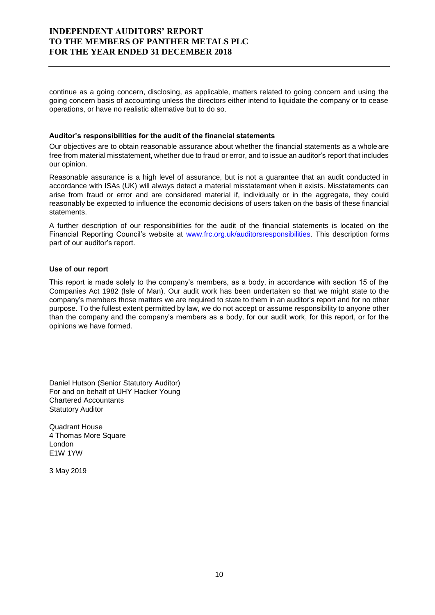continue as a going concern, disclosing, as applicable, matters related to going concern and using the going concern basis of accounting unless the directors either intend to liquidate the company or to cease operations, or have no realistic alternative but to do so.

### **Auditor's responsibilities for the audit of the financial statements**

Our objectives are to obtain reasonable assurance about whether the financial statements as a whole are free from material misstatement, whether due to fraud or error, and to issue an auditor's report that includes our opinion.

Reasonable assurance is a high level of assurance, but is not a guarantee that an audit conducted in accordance with ISAs (UK) will always detect a material misstatement when it exists. Misstatements can arise from fraud or error and are considered material if, individually or in the aggregate, they could reasonably be expected to influence the economic decisions of users taken on the basis of these financial statements.

A further description of our responsibilities for the audit of the financial statements is located on the Financial Reporting Council's website at [www.frc.org.uk/auditorsresponsibilities.](http://www.frc.org.uk/auditorsresponsibilities) This description forms part of our auditor's report.

## **Use of our report**

This report is made solely to the company's members, as a body, in accordance with section 15 of the Companies Act 1982 (Isle of Man). Our audit work has been undertaken so that we might state to the company's members those matters we are required to state to them in an auditor's report and for no other purpose. To the fullest extent permitted by law, we do not accept or assume responsibility to anyone other than the company and the company's members as a body, for our audit work, for this report, or for the opinions we have formed.

Daniel Hutson (Senior Statutory Auditor) For and on behalf of UHY Hacker Young Chartered Accountants Statutory Auditor

Quadrant House 4 Thomas More Square London E1W 1YW

3 May 2019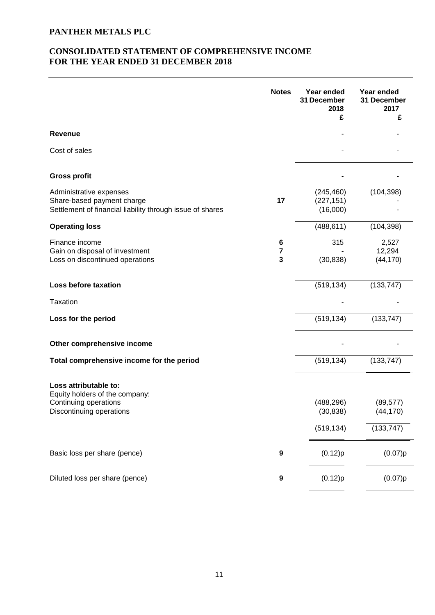# **CONSOLIDATED STATEMENT OF COMPREHENSIVE INCOME FOR THE YEAR ENDED 31 DECEMBER 2018**

|                                                                                                                    | <b>Notes</b> | Year ended<br>31 December<br>2018<br>£ | Year ended<br>31 December<br>2017<br>£ |
|--------------------------------------------------------------------------------------------------------------------|--------------|----------------------------------------|----------------------------------------|
| Revenue                                                                                                            |              |                                        |                                        |
| Cost of sales                                                                                                      |              |                                        |                                        |
| <b>Gross profit</b>                                                                                                |              |                                        |                                        |
| Administrative expenses<br>Share-based payment charge<br>Settlement of financial liability through issue of shares | 17           | (245, 460)<br>(227, 151)<br>(16,000)   | (104, 398)                             |
| <b>Operating loss</b>                                                                                              |              | (488, 611)                             | (104, 398)                             |
| Finance income<br>Gain on disposal of investment<br>Loss on discontinued operations                                | 6<br>7<br>3  | 315<br>(30, 838)                       | 2,527<br>12,294<br>(44, 170)           |
| Loss before taxation                                                                                               |              | (519, 134)                             | (133, 747)                             |
| Taxation                                                                                                           |              |                                        |                                        |
| Loss for the period                                                                                                |              | (519, 134)                             | (133, 747)                             |
| Other comprehensive income                                                                                         |              |                                        |                                        |
| Total comprehensive income for the period                                                                          |              | (519, 134)                             | (133, 747)                             |
| Loss attributable to:<br>Equity holders of the company:                                                            |              |                                        |                                        |
| Continuing operations<br>Discontinuing operations                                                                  |              | (488, 296)<br>(30, 838)                | (89, 577)<br>(44, 170)                 |
|                                                                                                                    |              | (519, 134)                             | (133, 747)                             |
| Basic loss per share (pence)                                                                                       | 9            | (0.12)p                                | (0.07)p                                |
| Diluted loss per share (pence)                                                                                     | 9            | (0.12)p                                | (0.07)p                                |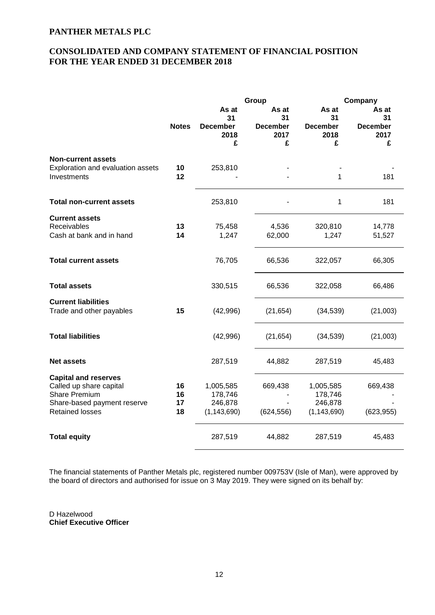# **CONSOLIDATED AND COMPANY STATEMENT OF FINANCIAL POSITION FOR THE YEAR ENDED 31 DECEMBER 2018**

|                                      |              | Group           |                 |                 | Company         |  |
|--------------------------------------|--------------|-----------------|-----------------|-----------------|-----------------|--|
|                                      |              | As at           | As at           | As at           | As at           |  |
|                                      |              | 31              | 31              | 31              | 31              |  |
|                                      | <b>Notes</b> | <b>December</b> | <b>December</b> | <b>December</b> | <b>December</b> |  |
|                                      |              | 2018            | 2017            | 2018            | 2017            |  |
|                                      |              | £               | £               | £               | £               |  |
| <b>Non-current assets</b>            |              |                 |                 |                 |                 |  |
| Exploration and evaluation assets    | 10           | 253,810         |                 |                 |                 |  |
| Investments                          | 12           |                 |                 | 1               | 181             |  |
|                                      |              |                 |                 |                 |                 |  |
| <b>Total non-current assets</b>      |              | 253,810         |                 | 1               | 181             |  |
|                                      |              |                 |                 |                 |                 |  |
| <b>Current assets</b><br>Receivables | 13           | 75,458          | 4,536           | 320,810         | 14,778          |  |
| Cash at bank and in hand             | 14           |                 |                 |                 |                 |  |
|                                      |              | 1,247           | 62,000          | 1,247           | 51,527          |  |
| <b>Total current assets</b>          |              | 76,705          | 66,536          | 322,057         | 66,305          |  |
|                                      |              |                 |                 |                 |                 |  |
| <b>Total assets</b>                  |              | 330,515         | 66,536          | 322,058         | 66,486          |  |
|                                      |              |                 |                 |                 |                 |  |
| <b>Current liabilities</b>           |              |                 |                 |                 |                 |  |
| Trade and other payables             | 15           | (42,996)        | (21, 654)       | (34, 539)       | (21,003)        |  |
|                                      |              |                 |                 |                 |                 |  |
| <b>Total liabilities</b>             |              | (42, 996)       | (21, 654)       | (34, 539)       | (21,003)        |  |
|                                      |              |                 |                 |                 |                 |  |
| <b>Net assets</b>                    |              | 287,519         | 44,882          | 287,519         | 45,483          |  |
|                                      |              |                 |                 |                 |                 |  |
| <b>Capital and reserves</b>          |              |                 |                 |                 |                 |  |
| Called up share capital              | 16           | 1,005,585       | 669,438         | 1,005,585       | 669,438         |  |
| <b>Share Premium</b>                 | 16           | 178,746         |                 | 178,746         |                 |  |
| Share-based payment reserve          | 17           | 246,878         |                 | 246,878         |                 |  |
| <b>Retained losses</b>               | 18           | (1, 143, 690)   | (624, 556)      | (1, 143, 690)   | (623, 955)      |  |
|                                      |              |                 |                 |                 |                 |  |
| <b>Total equity</b>                  |              | 287,519         | 44,882          | 287,519         | 45,483          |  |

The financial statements of Panther Metals plc, registered number 009753V (Isle of Man), were approved by the board of directors and authorised for issue on 3 May 2019. They were signed on its behalf by:

D Hazelwood **Chief Executive Officer**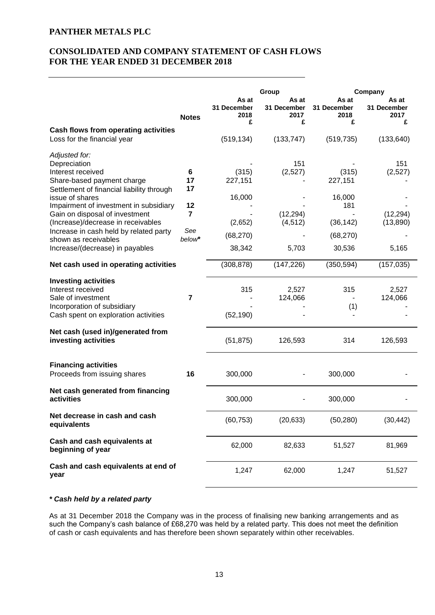# **CONSOLIDATED AND COMPANY STATEMENT OF CASH FLOWS FOR THE YEAR ENDED 31 DECEMBER 2018**

|                                                                                                                                                                                                                                                                                                                                      |                                           |                                                    | Group                                   | Company                                                     |                                         |  |
|--------------------------------------------------------------------------------------------------------------------------------------------------------------------------------------------------------------------------------------------------------------------------------------------------------------------------------------|-------------------------------------------|----------------------------------------------------|-----------------------------------------|-------------------------------------------------------------|-----------------------------------------|--|
|                                                                                                                                                                                                                                                                                                                                      | <b>Notes</b>                              | As at<br>31 December<br>2018<br>£                  | As at<br>31 December<br>2017<br>£       | As at<br>31 December<br>2018<br>£                           | As at<br>31 December<br>2017<br>£       |  |
| Cash flows from operating activities                                                                                                                                                                                                                                                                                                 |                                           |                                                    |                                         |                                                             |                                         |  |
| Loss for the financial year                                                                                                                                                                                                                                                                                                          |                                           | (519, 134)                                         | (133, 747)                              | (519, 735)                                                  | (133, 640)                              |  |
| Adjusted for:<br>Depreciation<br>Interest received<br>Share-based payment charge<br>Settlement of financial liability through<br>issue of shares<br>Impairment of investment in subsidiary<br>Gain on disposal of investment<br>(Increase)/decrease in receivables<br>Increase in cash held by related party<br>shown as receivables | 6<br>17<br>17<br>12<br>7<br>See<br>below* | (315)<br>227,151<br>16,000<br>(2,652)<br>(68, 270) | 151<br>(2,527)<br>(12, 294)<br>(4, 512) | (315)<br>227,151<br>16,000<br>181<br>(36, 142)<br>(68, 270) | 151<br>(2,527)<br>(12, 294)<br>(13,890) |  |
| Increase/(decrease) in payables                                                                                                                                                                                                                                                                                                      |                                           | 38,342                                             | 5,703                                   | 30,536                                                      | 5,165                                   |  |
| Net cash used in operating activities                                                                                                                                                                                                                                                                                                |                                           | (308, 878)                                         | (147, 226)                              | (350, 594)                                                  | (157, 035)                              |  |
| <b>Investing activities</b><br>Interest received<br>Sale of investment<br>Incorporation of subsidiary<br>Cash spent on exploration activities                                                                                                                                                                                        | $\overline{\mathbf{z}}$                   | 315<br>(52, 190)                                   | 2,527<br>124,066                        | 315<br>(1)                                                  | 2,527<br>124,066                        |  |
| Net cash (used in)/generated from<br>investing activities                                                                                                                                                                                                                                                                            |                                           | (51, 875)                                          | 126,593                                 | 314                                                         | 126,593                                 |  |
| <b>Financing activities</b><br>Proceeds from issuing shares                                                                                                                                                                                                                                                                          | 16                                        | 300,000                                            |                                         | 300,000                                                     |                                         |  |
| Net cash generated from financing<br>activities                                                                                                                                                                                                                                                                                      |                                           | 300,000                                            |                                         | 300,000                                                     |                                         |  |
| Net decrease in cash and cash<br>equivalents                                                                                                                                                                                                                                                                                         |                                           | (60, 753)                                          | (20, 633)                               | (50, 280)                                                   | (30, 442)                               |  |
| Cash and cash equivalents at<br>beginning of year                                                                                                                                                                                                                                                                                    |                                           | 62,000                                             | 82,633                                  | 51,527                                                      | 81,969                                  |  |
| Cash and cash equivalents at end of<br>year                                                                                                                                                                                                                                                                                          |                                           | 1,247                                              | 62,000                                  | 1,247                                                       | 51,527                                  |  |
|                                                                                                                                                                                                                                                                                                                                      |                                           |                                                    |                                         |                                                             |                                         |  |

## *\* Cash held by a related party*

As at 31 December 2018 the Company was in the process of finalising new banking arrangements and as such the Company's cash balance of £68,270 was held by a related party. This does not meet the definition of cash or cash equivalents and has therefore been shown separately within other receivables.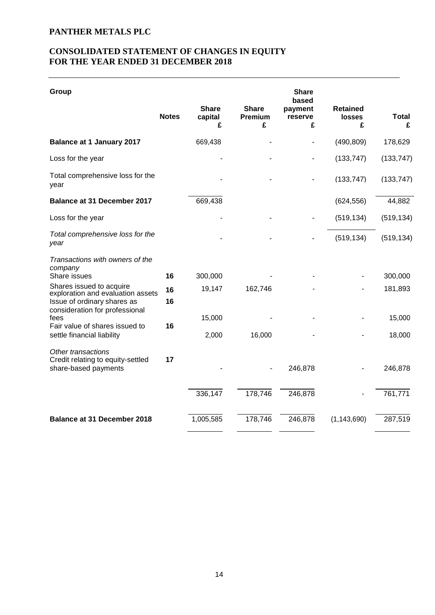# **CONSOLIDATED STATEMENT OF CHANGES IN EQUITY FOR THE YEAR ENDED 31 DECEMBER 2018**

| Group                                                                                        |              |                              |                              | <b>Share</b><br>based   |                                       |                   |
|----------------------------------------------------------------------------------------------|--------------|------------------------------|------------------------------|-------------------------|---------------------------------------|-------------------|
|                                                                                              | <b>Notes</b> | <b>Share</b><br>capital<br>£ | <b>Share</b><br>Premium<br>£ | payment<br>reserve<br>£ | <b>Retained</b><br><b>losses</b><br>£ | <b>Total</b><br>£ |
| <b>Balance at 1 January 2017</b>                                                             |              | 669,438                      |                              |                         | (490, 809)                            | 178,629           |
| Loss for the year                                                                            |              |                              |                              |                         | (133, 747)                            | (133, 747)        |
| Total comprehensive loss for the<br>year                                                     |              |                              |                              |                         | (133.747)                             | (133.747)         |
| <b>Balance at 31 December 2017</b>                                                           |              | 669,438                      |                              |                         | (624, 556)                            | 44,882            |
| Loss for the year                                                                            |              |                              |                              |                         | (519, 134)                            | (519, 134)        |
| Total comprehensive loss for the<br>year                                                     |              |                              |                              |                         | (519, 134)                            | (519, 134)        |
| Transactions with owners of the<br>company<br>Share issues                                   | 16           | 300,000                      |                              |                         |                                       | 300,000           |
| Shares issued to acquire<br>exploration and evaluation assets<br>Issue of ordinary shares as | 16<br>16     | 19,147                       | 162,746                      |                         |                                       | 181,893           |
| consideration for professional<br>fees                                                       |              | 15,000                       |                              |                         |                                       | 15,000            |
| Fair value of shares issued to<br>settle financial liability                                 | 16           | 2,000                        | 16,000                       |                         |                                       | 18,000            |
| Other transactions<br>Credit relating to equity-settled<br>share-based payments              | 17           |                              |                              | 246,878                 |                                       | 246,878           |
|                                                                                              |              | 336,147                      | 178,746                      | 246,878                 |                                       | 761,771           |
| <b>Balance at 31 December 2018</b>                                                           |              | 1,005,585                    | 178,746                      | 246,878                 | (1, 143, 690)                         | 287,519           |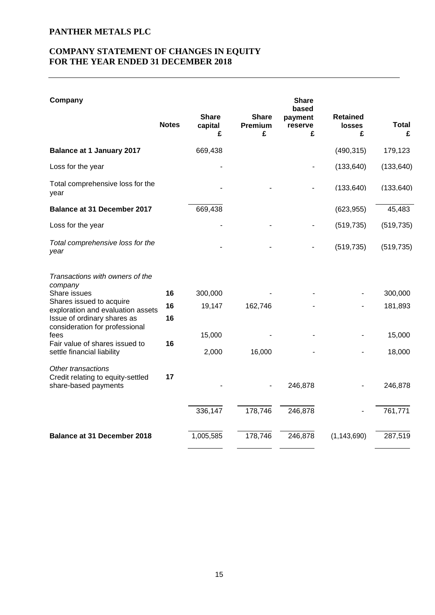# **COMPANY STATEMENT OF CHANGES IN EQUITY FOR THE YEAR ENDED 31 DECEMBER 2018**

| Company                                                                         | <b>Share</b><br>based |                              |                              |                         |                                |                   |
|---------------------------------------------------------------------------------|-----------------------|------------------------------|------------------------------|-------------------------|--------------------------------|-------------------|
|                                                                                 | <b>Notes</b>          | <b>Share</b><br>capital<br>£ | <b>Share</b><br>Premium<br>£ | payment<br>reserve<br>£ | <b>Retained</b><br>losses<br>£ | <b>Total</b><br>£ |
| <b>Balance at 1 January 2017</b>                                                |                       | 669,438                      |                              |                         | (490, 315)                     | 179,123           |
| Loss for the year                                                               |                       |                              |                              |                         | (133, 640)                     | (133, 640)        |
| Total comprehensive loss for the<br>year                                        |                       |                              |                              |                         | (133.640)                      | (133.640)         |
| <b>Balance at 31 December 2017</b>                                              |                       | 669,438                      |                              |                         | (623, 955)                     | 45,483            |
| Loss for the year                                                               |                       |                              |                              |                         | (519, 735)                     | (519, 735)        |
| Total comprehensive loss for the<br>year                                        |                       |                              |                              |                         | (519, 735)                     | (519, 735)        |
| Transactions with owners of the                                                 |                       |                              |                              |                         |                                |                   |
| company<br>Share issues                                                         | 16                    | 300,000                      |                              |                         |                                | 300,000           |
| Shares issued to acquire<br>exploration and evaluation assets                   | 16                    | 19,147                       | 162,746                      |                         |                                | 181,893           |
| Issue of ordinary shares as<br>consideration for professional                   | 16                    |                              |                              |                         |                                |                   |
| fees                                                                            |                       | 15,000                       |                              |                         |                                | 15,000            |
| Fair value of shares issued to<br>settle financial liability                    | 16                    | 2,000                        | 16,000                       |                         |                                | 18,000            |
| Other transactions<br>Credit relating to equity-settled<br>share-based payments | 17                    |                              |                              | 246,878                 |                                | 246,878           |
|                                                                                 |                       | 336,147                      | 178,746                      | 246,878                 |                                | 761,771           |
| <b>Balance at 31 December 2018</b>                                              |                       | 1,005,585                    | 178,746                      | 246,878                 | (1, 143, 690)                  | 287,519           |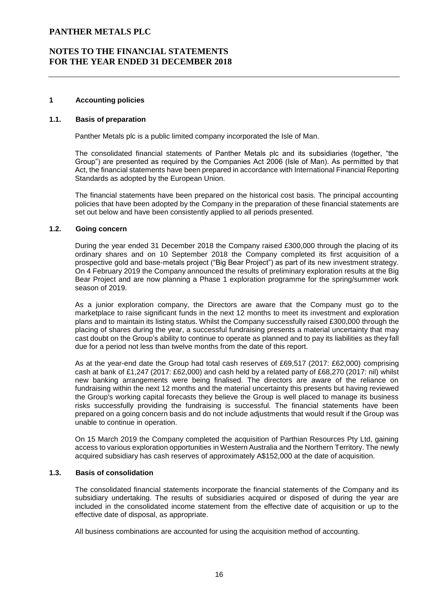# **NOTES TO THE FINANCIAL STATEMENTS FOR THE YEAR ENDED 31 DECEMBER 2018**

## **1 Accounting policies**

## **1.1. Basis of preparation**

Panther Metals plc is a public limited company incorporated the Isle of Man.

The consolidated financial statements of Panther Metals plc and its subsidiaries (together, "the Group") are presented as required by the Companies Act 2006 (Isle of Man). As permitted by that Act, the financial statements have been prepared in accordance with International Financial Reporting Standards as adopted by the European Union.

The financial statements have been prepared on the historical cost basis. The principal accounting policies that have been adopted by the Company in the preparation of these financial statements are set out below and have been consistently applied to all periods presented.

## **1.2. Going concern**

During the year ended 31 December 2018 the Company raised £300,000 through the placing of its ordinary shares and on 10 September 2018 the Company completed its first acquisition of a prospective gold and base-metals project ("Big Bear Project") as part of its new investment strategy. On 4 February 2019 the Company announced the results of preliminary exploration results at the Big Bear Project and are now planning a Phase 1 exploration programme for the spring/summer work season of 2019.

As a junior exploration company, the Directors are aware that the Company must go to the marketplace to raise significant funds in the next 12 months to meet its investment and exploration plans and to maintain its listing status. Whilst the Company successfully raised £300,000 through the placing of shares during the year, a successful fundraising presents a material uncertainty that may cast doubt on the Group's ability to continue to operate as planned and to pay its liabilities as they fall due for a period not less than twelve months from the date of this report.

As at the year-end date the Group had total cash reserves of £69,517 (2017: £62,000) comprising cash at bank of £1,247 (2017: £62,000) and cash held by a related party of £68,270 (2017: nil) whilst new banking arrangements were being finalised. The directors are aware of the reliance on fundraising within the next 12 months and the material uncertainty this presents but having reviewed the Group's working capital forecasts they believe the Group is well placed to manage its business risks successfully providing the fundraising is successful. The financial statements have been prepared on a going concern basis and do not include adjustments that would result if the Group was unable to continue in operation.

On 15 March 2019 the Company completed the acquisition of Parthian Resources Pty Ltd, gaining access to various exploration opportunities in Western Australia and the Northern Territory. The newly acquired subsidiary has cash reserves of approximately A\$152,000 at the date of acquisition.

## **1.3. Basis of consolidation**

The consolidated financial statements incorporate the financial statements of the Company and its subsidiary undertaking. The results of subsidiaries acquired or disposed of during the year are included in the consolidated income statement from the effective date of acquisition or up to the effective date of disposal, as appropriate.

All business combinations are accounted for using the acquisition method of accounting.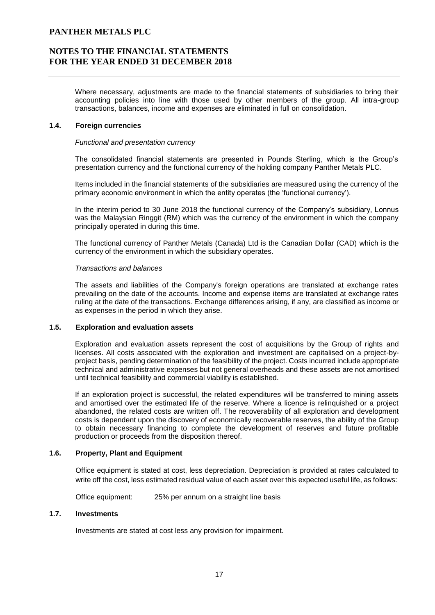# **NOTES TO THE FINANCIAL STATEMENTS FOR THE YEAR ENDED 31 DECEMBER 2018**

Where necessary, adjustments are made to the financial statements of subsidiaries to bring their accounting policies into line with those used by other members of the group. All intra-group transactions, balances, income and expenses are eliminated in full on consolidation.

## **1.4. Foreign currencies**

## *Functional and presentation currency*

The consolidated financial statements are presented in Pounds Sterling, which is the Group's presentation currency and the functional currency of the holding company Panther Metals PLC.

Items included in the financial statements of the subsidiaries are measured using the currency of the primary economic environment in which the entity operates (the 'functional currency').

In the interim period to 30 June 2018 the functional currency of the Company's subsidiary, Lonnus was the Malaysian Ringgit (RM) which was the currency of the environment in which the company principally operated in during this time.

The functional currency of Panther Metals (Canada) Ltd is the Canadian Dollar (CAD) which is the currency of the environment in which the subsidiary operates.

### *Transactions and balances*

The assets and liabilities of the Company's foreign operations are translated at exchange rates prevailing on the date of the accounts. Income and expense items are translated at exchange rates ruling at the date of the transactions. Exchange differences arising, if any, are classified as income or as expenses in the period in which they arise.

## **1.5. Exploration and evaluation assets**

Exploration and evaluation assets represent the cost of acquisitions by the Group of rights and licenses. All costs associated with the exploration and investment are capitalised on a project-byproject basis, pending determination of the feasibility of the project. Costs incurred include appropriate technical and administrative expenses but not general overheads and these assets are not amortised until technical feasibility and commercial viability is established.

If an exploration project is successful, the related expenditures will be transferred to mining assets and amortised over the estimated life of the reserve. Where a licence is relinquished or a project abandoned, the related costs are written off. The recoverability of all exploration and development costs is dependent upon the discovery of economically recoverable reserves, the ability of the Group to obtain necessary financing to complete the development of reserves and future profitable production or proceeds from the disposition thereof.

# **1.6. Property, Plant and Equipment**

Office equipment is stated at cost, less depreciation. Depreciation is provided at rates calculated to write off the cost, less estimated residual value of each asset over this expected useful life, as follows:

Office equipment: 25% per annum on a straight line basis

### **1.7. Investments**

Investments are stated at cost less any provision for impairment.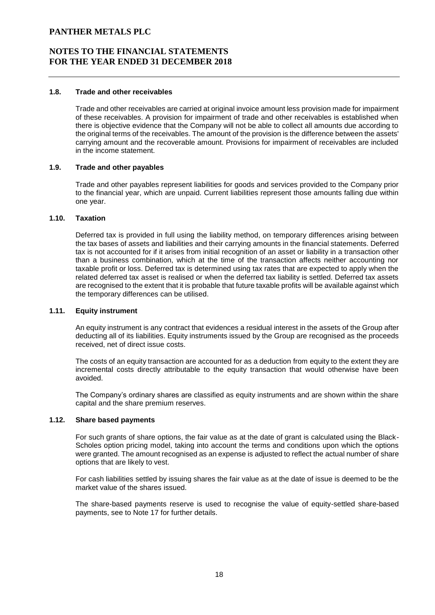# **NOTES TO THE FINANCIAL STATEMENTS FOR THE YEAR ENDED 31 DECEMBER 2018**

# **1.8. Trade and other receivables**

Trade and other receivables are carried at original invoice amount less provision made for impairment of these receivables. A provision for impairment of trade and other receivables is established when there is objective evidence that the Company will not be able to collect all amounts due according to the original terms of the receivables. The amount of the provision is the difference between the assets' carrying amount and the recoverable amount. Provisions for impairment of receivables are included in the income statement.

## **1.9. Trade and other payables**

Trade and other payables represent liabilities for goods and services provided to the Company prior to the financial year, which are unpaid. Current liabilities represent those amounts falling due within one year.

### **1.10. Taxation**

Deferred tax is provided in full using the liability method, on temporary differences arising between the tax bases of assets and liabilities and their carrying amounts in the financial statements. Deferred tax is not accounted for if it arises from initial recognition of an asset or liability in a transaction other than a business combination, which at the time of the transaction affects neither accounting nor taxable profit or loss. Deferred tax is determined using tax rates that are expected to apply when the related deferred tax asset is realised or when the deferred tax liability is settled. Deferred tax assets are recognised to the extent that it is probable that future taxable profits will be available against which the temporary differences can be utilised.

## **1.11. Equity instrument**

An equity instrument is any contract that evidences a residual interest in the assets of the Group after deducting all of its liabilities. Equity instruments issued by the Group are recognised as the proceeds received, net of direct issue costs.

The costs of an equity transaction are accounted for as a deduction from equity to the extent they are incremental costs directly attributable to the equity transaction that would otherwise have been avoided.

The Company's ordinary shares are classified as equity instruments and are shown within the share capital and the share premium reserves.

### **1.12. Share based payments**

For such grants of share options, the fair value as at the date of grant is calculated using the Black-Scholes option pricing model, taking into account the terms and conditions upon which the options were granted. The amount recognised as an expense is adjusted to reflect the actual number of share options that are likely to vest.

For cash liabilities settled by issuing shares the fair value as at the date of issue is deemed to be the market value of the shares issued.

The share-based payments reserve is used to recognise the value of equity-settled share-based payments, see to Note 17 for further details.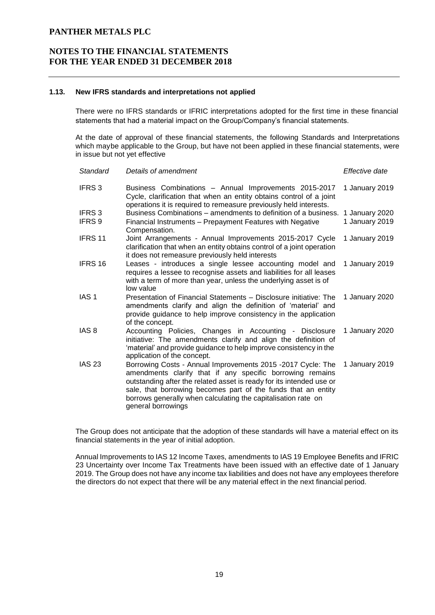# **NOTES TO THE FINANCIAL STATEMENTS FOR THE YEAR ENDED 31 DECEMBER 2018**

# **1.13. New IFRS standards and interpretations not applied**

There were no IFRS standards or IFRIC interpretations adopted for the first time in these financial statements that had a material impact on the Group/Company's financial statements.

At the date of approval of these financial statements, the following Standards and Interpretations which maybe applicable to the Group, but have not been applied in these financial statements, were in issue but not yet effective

| Standard                    | Details of amendment                                                                                                                                                                                                                                                                                                                                     | Effective date                   |
|-----------------------------|----------------------------------------------------------------------------------------------------------------------------------------------------------------------------------------------------------------------------------------------------------------------------------------------------------------------------------------------------------|----------------------------------|
| IFRS <sub>3</sub>           | Business Combinations - Annual Improvements 2015-2017<br>Cycle, clarification that when an entity obtains control of a joint<br>operations it is required to remeasure previously held interests.                                                                                                                                                        | 1 January 2019                   |
| IFRS <sub>3</sub><br>IFRS 9 | Business Combinations – amendments to definition of a business.<br>Financial Instruments - Prepayment Features with Negative<br>Compensation.                                                                                                                                                                                                            | 1 January 2020<br>1 January 2019 |
| IFRS 11                     | Joint Arrangements - Annual Improvements 2015-2017 Cycle<br>clarification that when an entity obtains control of a joint operation<br>it does not remeasure previously held interests                                                                                                                                                                    | 1 January 2019                   |
| IFRS 16                     | Leases - introduces a single lessee accounting model and<br>requires a lessee to recognise assets and liabilities for all leases<br>with a term of more than year, unless the underlying asset is of<br>low value                                                                                                                                        | 1 January 2019                   |
| IAS <sub>1</sub>            | Presentation of Financial Statements - Disclosure initiative: The<br>amendments clarify and align the definition of 'material' and<br>provide guidance to help improve consistency in the application<br>of the concept.                                                                                                                                 | 1 January 2020                   |
| IAS <sub>8</sub>            | Accounting Policies, Changes in Accounting - Disclosure<br>initiative: The amendments clarify and align the definition of<br>'material' and provide guidance to help improve consistency in the<br>application of the concept.                                                                                                                           | 1 January 2020                   |
| <b>IAS 23</b>               | Borrowing Costs - Annual Improvements 2015 -2017 Cycle: The<br>amendments clarify that if any specific borrowing remains<br>outstanding after the related asset is ready for its intended use or<br>sale, that borrowing becomes part of the funds that an entity<br>borrows generally when calculating the capitalisation rate on<br>general borrowings | 1 January 2019                   |

The Group does not anticipate that the adoption of these standards will have a material effect on its financial statements in the year of initial adoption.

Annual Improvements to IAS 12 Income Taxes, amendments to IAS 19 Employee Benefits and IFRIC 23 Uncertainty over Income Tax Treatments have been issued with an effective date of 1 January 2019. The Group does not have any income tax liabilities and does not have any employees therefore the directors do not expect that there will be any material effect in the next financial period.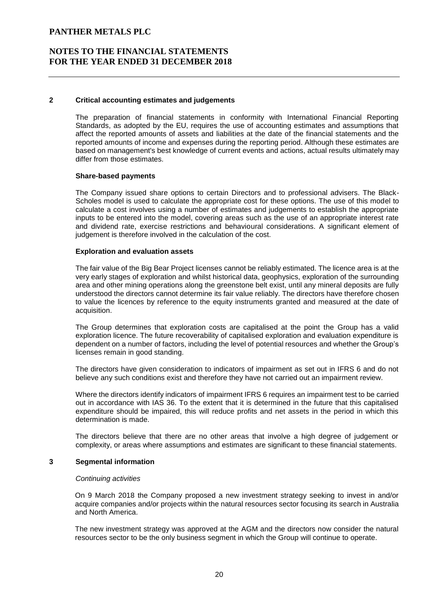# **NOTES TO THE FINANCIAL STATEMENTS FOR THE YEAR ENDED 31 DECEMBER 2018**

## **2 Critical accounting estimates and judgements**

The preparation of financial statements in conformity with International Financial Reporting Standards, as adopted by the EU, requires the use of accounting estimates and assumptions that affect the reported amounts of assets and liabilities at the date of the financial statements and the reported amounts of income and expenses during the reporting period. Although these estimates are based on management's best knowledge of current events and actions, actual results ultimately may differ from those estimates.

### **Share-based payments**

The Company issued share options to certain Directors and to professional advisers. The Black-Scholes model is used to calculate the appropriate cost for these options. The use of this model to calculate a cost involves using a number of estimates and judgements to establish the appropriate inputs to be entered into the model, covering areas such as the use of an appropriate interest rate and dividend rate, exercise restrictions and behavioural considerations. A significant element of judgement is therefore involved in the calculation of the cost.

## **Exploration and evaluation assets**

The fair value of the Big Bear Project licenses cannot be reliably estimated. The licence area is at the very early stages of exploration and whilst historical data, geophysics, exploration of the surrounding area and other mining operations along the greenstone belt exist, until any mineral deposits are fully understood the directors cannot determine its fair value reliably. The directors have therefore chosen to value the licences by reference to the equity instruments granted and measured at the date of acquisition.

The Group determines that exploration costs are capitalised at the point the Group has a valid exploration licence. The future recoverability of capitalised exploration and evaluation expenditure is dependent on a number of factors, including the level of potential resources and whether the Group's licenses remain in good standing.

The directors have given consideration to indicators of impairment as set out in IFRS 6 and do not believe any such conditions exist and therefore they have not carried out an impairment review.

Where the directors identify indicators of impairment IFRS 6 requires an impairment test to be carried out in accordance with IAS 36. To the extent that it is determined in the future that this capitalised expenditure should be impaired, this will reduce profits and net assets in the period in which this determination is made.

The directors believe that there are no other areas that involve a high degree of judgement or complexity, or areas where assumptions and estimates are significant to these financial statements.

## **3 Segmental information**

### *Continuing activities*

On 9 March 2018 the Company proposed a new investment strategy seeking to invest in and/or acquire companies and/or projects within the natural resources sector focusing its search in Australia and North America.

The new investment strategy was approved at the AGM and the directors now consider the natural resources sector to be the only business segment in which the Group will continue to operate.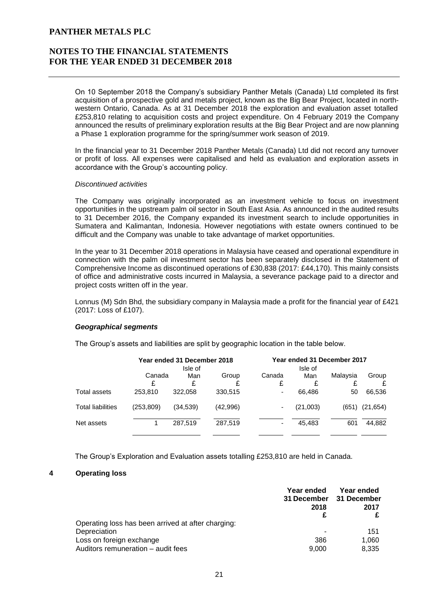# **NOTES TO THE FINANCIAL STATEMENTS FOR THE YEAR ENDED 31 DECEMBER 2018**

On 10 September 2018 the Company's subsidiary Panther Metals (Canada) Ltd completed its first acquisition of a prospective gold and metals project, known as the Big Bear Project, located in northwestern Ontario, Canada. As at 31 December 2018 the exploration and evaluation asset totalled £253,810 relating to acquisition costs and project expenditure. On 4 February 2019 the Company announced the results of preliminary exploration results at the Big Bear Project and are now planning a Phase 1 exploration programme for the spring/summer work season of 2019.

In the financial year to 31 December 2018 Panther Metals (Canada) Ltd did not record any turnover or profit of loss. All expenses were capitalised and held as evaluation and exploration assets in accordance with the Group's accounting policy.

#### *Discontinued activities*

The Company was originally incorporated as an investment vehicle to focus on investment opportunities in the upstream palm oil sector in South East Asia. As announced in the audited results to 31 December 2016, the Company expanded its investment search to include opportunities in Sumatera and Kalimantan, Indonesia. However negotiations with estate owners continued to be difficult and the Company was unable to take advantage of market opportunities.

In the year to 31 December 2018 operations in Malaysia have ceased and operational expenditure in connection with the palm oil investment sector has been separately disclosed in the Statement of Comprehensive Income as discontinued operations of £30,838 (2017: £44,170). This mainly consists of office and administrative costs incurred in Malaysia, a severance package paid to a director and project costs written off in the year.

Lonnus (M) Sdn Bhd, the subsidiary company in Malaysia made a profit for the financial year of £421 (2017: Loss of £107).

### *Geographical segments*

The Group's assets and liabilities are split by geographic location in the table below.

|           | Isle of   |          |                             | Isle of  |          |                             |
|-----------|-----------|----------|-----------------------------|----------|----------|-----------------------------|
| Canada    | Man       | Group    | Canada                      | Man      | Malaysia | Group                       |
| £         | £         |          | £                           | £        |          | £                           |
| 253.810   | 322,058   | 330.515  | ٠                           | 66.486   | 50       | 66,536                      |
| (253,809) | (34, 539) | (42,996) | ٠                           | (21,003) | (651)    | (21, 654)                   |
|           | 287.519   | 287,519  | $\overline{\phantom{0}}$    | 45.483   | 601      | 44,882                      |
|           |           |          | Year ended 31 December 2018 |          |          | Year ended 31 December 2017 |

The Group's Exploration and Evaluation assets totalling £253,810 are held in Canada.

### **4 Operating loss**

|                                                    | Year ended<br>31 December<br>2018 | Year ended<br>31 December<br>2017 |
|----------------------------------------------------|-----------------------------------|-----------------------------------|
| Operating loss has been arrived at after charging: |                                   |                                   |
| Depreciation                                       |                                   | 151                               |
| Loss on foreign exchange                           | 386                               | 1,060                             |
| Auditors remuneration - audit fees                 | 9.000                             | 8,335                             |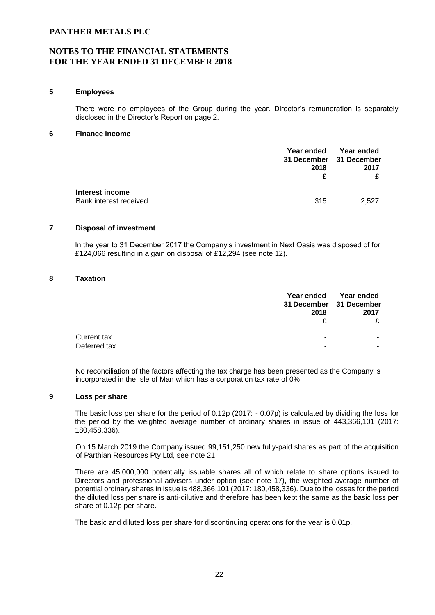# **NOTES TO THE FINANCIAL STATEMENTS FOR THE YEAR ENDED 31 DECEMBER 2018**

# **5 Employees**

There were no employees of the Group during the year. Director's remuneration is separately disclosed in the Director's Report on page 2.

#### **6 Finance income**

|                                           | Year ended<br>31 December 31 December<br>2018<br>£ | Year ended<br>2017<br>£ |
|-------------------------------------------|----------------------------------------------------|-------------------------|
| Interest income<br>Bank interest received | 315                                                | 2.527                   |

#### **7 Disposal of investment**

In the year to 31 December 2017 the Company's investment in Next Oasis was disposed of for £124,066 resulting in a gain on disposal of £12,294 (see note 12).

### **8 Taxation**

|              | Year ended              | Year ended               |
|--------------|-------------------------|--------------------------|
|              | 31 December 31 December |                          |
|              | 2018                    | 2017                     |
|              |                         |                          |
| Current tax  | -                       |                          |
| Deferred tax | -                       | $\overline{\phantom{a}}$ |

No reconciliation of the factors affecting the tax charge has been presented as the Company is incorporated in the Isle of Man which has a corporation tax rate of 0%.

## **9 Loss per share**

The basic loss per share for the period of 0.12p (2017: - 0.07p) is calculated by dividing the loss for the period by the weighted average number of ordinary shares in issue of 443,366,101 (2017: 180,458,336).

On 15 March 2019 the Company issued 99,151,250 new fully-paid shares as part of the acquisition of Parthian Resources Pty Ltd, see note 21.

There are 45,000,000 potentially issuable shares all of which relate to share options issued to Directors and professional advisers under option (see note 17), the weighted average number of potential ordinary shares in issue is 488,366,101 (2017: 180,458,336). Due to the losses for the period the diluted loss per share is anti-dilutive and therefore has been kept the same as the basic loss per share of 0.12p per share.

The basic and diluted loss per share for discontinuing operations for the year is 0.01p.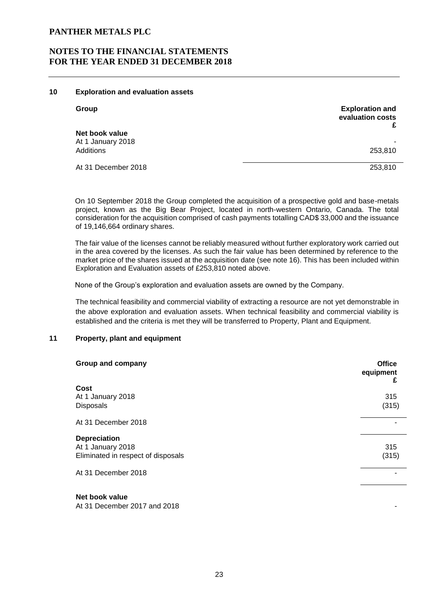# **NOTES TO THE FINANCIAL STATEMENTS FOR THE YEAR ENDED 31 DECEMBER 2018**

# **10 Exploration and evaluation assets**

| Group                                            | <b>Exploration and</b><br>evaluation costs<br>£ |
|--------------------------------------------------|-------------------------------------------------|
| Net book value<br>At 1 January 2018<br>Additions | 253,810                                         |
| At 31 December 2018                              | 253,810                                         |

On 10 September 2018 the Group completed the acquisition of a prospective gold and base-metals project, known as the Big Bear Project, located in north-western Ontario, Canada. The total consideration for the acquisition comprised of cash payments totalling CAD\$ 33,000 and the issuance of 19,146,664 ordinary shares.

The fair value of the licenses cannot be reliably measured without further exploratory work carried out in the area covered by the licenses. As such the fair value has been determined by reference to the market price of the shares issued at the acquisition date (see note 16). This has been included within Exploration and Evaluation assets of £253,810 noted above.

None of the Group's exploration and evaluation assets are owned by the Company.

The technical feasibility and commercial viability of extracting a resource are not yet demonstrable in the above exploration and evaluation assets. When technical feasibility and commercial viability is established and the criteria is met they will be transferred to Property, Plant and Equipment.

### **11 Property, plant and equipment**

| <b>Group and company</b>                                                       | <b>Office</b><br>equipment<br>£ |
|--------------------------------------------------------------------------------|---------------------------------|
| Cost<br>At 1 January 2018<br><b>Disposals</b>                                  | 315<br>(315)                    |
| At 31 December 2018                                                            |                                 |
| <b>Depreciation</b><br>At 1 January 2018<br>Eliminated in respect of disposals | 315<br>(315)                    |
| At 31 December 2018                                                            |                                 |
| Net book value                                                                 |                                 |

At 31 December 2017 and 2018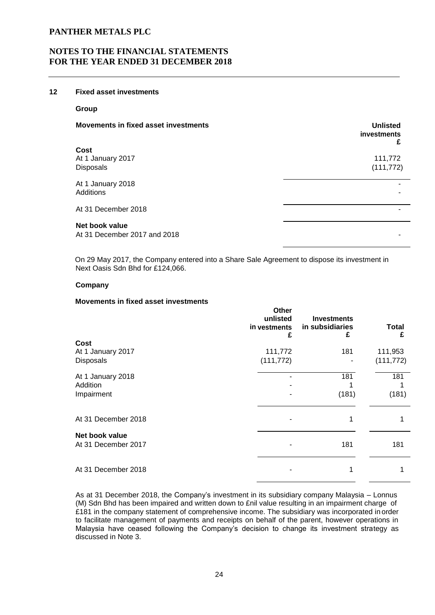# **NOTES TO THE FINANCIAL STATEMENTS FOR THE YEAR ENDED 31 DECEMBER 2018**

## **12 Fixed asset investments**

**Group**

| Movements in fixed asset investments           | <b>Unlisted</b><br>investments<br>£ |
|------------------------------------------------|-------------------------------------|
| Cost<br>At 1 January 2017<br>Disposals         | 111,772<br>(111, 772)               |
| At 1 January 2018<br>Additions                 |                                     |
| At 31 December 2018                            |                                     |
| Net book value<br>At 31 December 2017 and 2018 |                                     |

On 29 May 2017, the Company entered into a Share Sale Agreement to dispose its investment in Next Oasis Sdn Bhd for £124,066.

## **Company**

## **Movements in fixed asset investments**

|                                       | Other<br>unlisted<br>in vestments<br>£ | <b>Investments</b><br>in subsidiaries<br>£ | <b>Total</b><br>£ |
|---------------------------------------|----------------------------------------|--------------------------------------------|-------------------|
| Cost                                  |                                        |                                            |                   |
| At 1 January 2017                     | 111,772                                | 181                                        | 111,953           |
| Disposals                             | (111, 772)                             |                                            | (111, 772)        |
| At 1 January 2018                     |                                        | 181                                        | 181               |
| Addition                              |                                        |                                            |                   |
| Impairment                            |                                        | (181)                                      | (181)             |
| At 31 December 2018                   |                                        |                                            |                   |
| Net book value<br>At 31 December 2017 |                                        | 181                                        | 181               |
| At 31 December 2018                   |                                        |                                            |                   |

As at 31 December 2018, the Company's investment in its subsidiary company Malaysia – Lonnus (M) Sdn Bhd has been impaired and written down to £nil value resulting in an impairment charge of £181 in the company statement of comprehensive income. The subsidiary was incorporated in order to facilitate management of payments and receipts on behalf of the parent, however operations in Malaysia have ceased following the Company's decision to change its investment strategy as discussed in Note 3.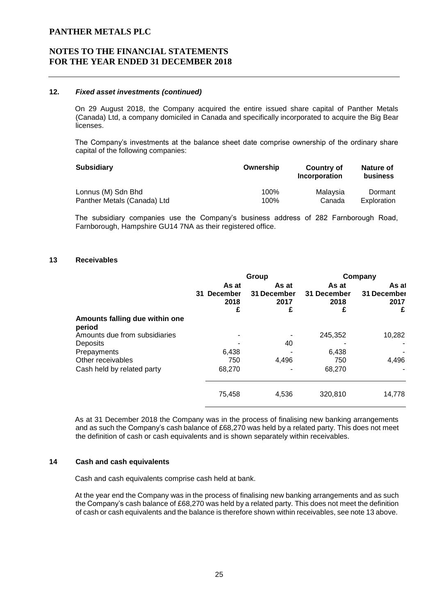# **NOTES TO THE FINANCIAL STATEMENTS FOR THE YEAR ENDED 31 DECEMBER 2018**

# **12.** *Fixed asset investments (continued)*

On 29 August 2018, the Company acquired the entire issued share capital of Panther Metals (Canada) Ltd, a company domiciled in Canada and specifically incorporated to acquire the Big Bear licenses.

The Company's investments at the balance sheet date comprise ownership of the ordinary share capital of the following companies:

| <b>Subsidiary</b>           | Ownership | <b>Country of</b><br>Incorporation | <b>Nature of</b><br>business |
|-----------------------------|-----------|------------------------------------|------------------------------|
| Lonnus (M) Sdn Bhd          | 100%      | Malavsia                           | Dormant                      |
| Panther Metals (Canada) Ltd | 100%      | Canada                             | Exploration                  |

The subsidiary companies use the Company's business address of 282 Farnborough Road, Farnborough, Hampshire GU14 7NA as their registered office.

### **13 Receivables**

|                                          | Group                             |                                   | Company                           |                                   |
|------------------------------------------|-----------------------------------|-----------------------------------|-----------------------------------|-----------------------------------|
|                                          | As at<br>31 December<br>2018<br>£ | As at<br>31 December<br>2017<br>£ | As at<br>31 December<br>2018<br>£ | As at<br>31 December<br>2017<br>£ |
| Amounts falling due within one<br>period |                                   |                                   |                                   |                                   |
| Amounts due from subsidiaries            |                                   |                                   | 245,352                           | 10,282                            |
| Deposits                                 |                                   | 40                                |                                   |                                   |
| Prepayments                              | 6,438                             |                                   | 6,438                             |                                   |
| Other receivables                        | 750                               | 4,496                             | 750                               | 4,496                             |
| Cash held by related party               | 68,270                            |                                   | 68,270                            |                                   |
|                                          | 75,458                            | 4,536                             | 320,810                           | 14,778                            |

As at 31 December 2018 the Company was in the process of finalising new banking arrangements and as such the Company's cash balance of £68,270 was held by a related party. This does not meet the definition of cash or cash equivalents and is shown separately within receivables.

## **14 Cash and cash equivalents**

Cash and cash equivalents comprise cash held at bank.

At the year end the Company was in the process of finalising new banking arrangements and as such the Company's cash balance of £68,270 was held by a related party. This does not meet the definition of cash or cash equivalents and the balance is therefore shown within receivables, see note 13 above.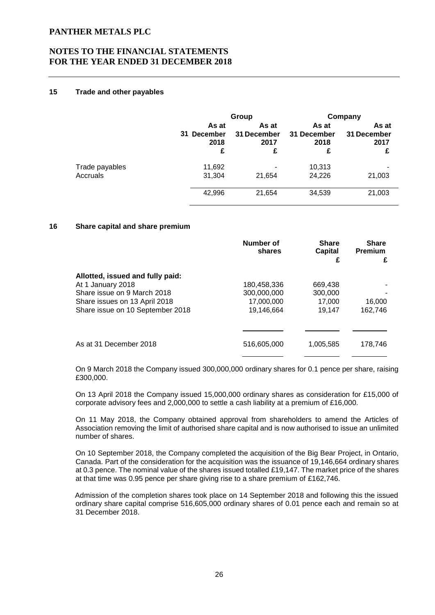# **NOTES TO THE FINANCIAL STATEMENTS FOR THE YEAR ENDED 31 DECEMBER 2018**

# **15 Trade and other payables**

|                |             | Group       |             | Company     |  |
|----------------|-------------|-------------|-------------|-------------|--|
|                | As at       | As at       | As at       | As at       |  |
|                | 31 December | 31 December | 31 December | 31 December |  |
|                | 2018        | 2017        | 2018        | 2017        |  |
|                | £           | £           | £           | £           |  |
| Trade payables | 11,692      | ۰           | 10,313      | ٠           |  |
| Accruals       | 31,304      | 21,654      | 24,226      | 21,003      |  |
|                | 42,996      | 21,654      | 34,539      | 21,003      |  |

### **16 Share capital and share premium**

|                                  | Number of<br>shares | <b>Share</b><br>Capital<br>£ | <b>Share</b><br><b>Premium</b><br>£ |
|----------------------------------|---------------------|------------------------------|-------------------------------------|
| Allotted, issued and fully paid: |                     |                              |                                     |
| At 1 January 2018                | 180,458,336         | 669,438                      |                                     |
| Share issue on 9 March 2018      | 300.000.000         | 300,000                      |                                     |
| Share issues on 13 April 2018    | 17,000,000          | 17,000                       | 16.000                              |
| Share issue on 10 September 2018 | 19,146,664          | 19.147                       | 162,746                             |
|                                  |                     |                              |                                     |
| As at 31 December 2018           | 516,605,000         | 1,005,585                    | 178.746                             |

On 9 March 2018 the Company issued 300,000,000 ordinary shares for 0.1 pence per share, raising £300,000.

On 13 April 2018 the Company issued 15,000,000 ordinary shares as consideration for £15,000 of corporate advisory fees and 2,000,000 to settle a cash liability at a premium of £16,000.

On 11 May 2018, the Company obtained approval from shareholders to amend the Articles of Association removing the limit of authorised share capital and is now authorised to issue an unlimited number of shares.

On 10 September 2018, the Company completed the acquisition of the Big Bear Project, in Ontario, Canada. Part of the consideration for the acquisition was the issuance of 19,146,664 ordinary shares at 0.3 pence. The nominal value of the shares issued totalled £19,147. The market price of the shares at that time was 0.95 pence per share giving rise to a share premium of £162,746.

Admission of the completion shares took place on 14 September 2018 and following this the issued ordinary share capital comprise 516,605,000 ordinary shares of 0.01 pence each and remain so at 31 December 2018.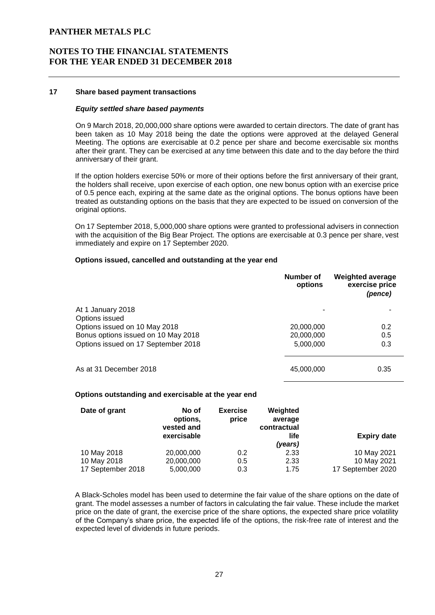# **NOTES TO THE FINANCIAL STATEMENTS FOR THE YEAR ENDED 31 DECEMBER 2018**

# **17 Share based payment transactions**

### *Equity settled share based payments*

On 9 March 2018, 20,000,000 share options were awarded to certain directors. The date of grant has been taken as 10 May 2018 being the date the options were approved at the delayed General Meeting. The options are exercisable at 0.2 pence per share and become exercisable six months after their grant. They can be exercised at any time between this date and to the day before the third anniversary of their grant.

If the option holders exercise 50% or more of their options before the first anniversary of their grant, the holders shall receive, upon exercise of each option, one new bonus option with an exercise price of 0.5 pence each, expiring at the same date as the original options. The bonus options have been treated as outstanding options on the basis that they are expected to be issued on conversion of the original options.

On 17 September 2018, 5,000,000 share options were granted to professional advisers in connection with the acquisition of the Big Bear Project. The options are exercisable at 0.3 pence per share, vest immediately and expire on 17 September 2020.

### **Options issued, cancelled and outstanding at the year end**

|                                     | Number of<br>options | <b>Weighted average</b><br>exercise price<br>(pence) |
|-------------------------------------|----------------------|------------------------------------------------------|
| At 1 January 2018                   |                      |                                                      |
| Options issued                      |                      |                                                      |
| Options issued on 10 May 2018       | 20,000,000           | 0.2                                                  |
| Bonus options issued on 10 May 2018 | 20,000,000           | 0.5                                                  |
| Options issued on 17 September 2018 | 5,000,000            | 0.3                                                  |
| As at 31 December 2018              | 45,000,000           | 0.35                                                 |

### **Options outstanding and exercisable at the year end**

| Date of grant                    | No of<br>options,<br>vested and | <b>Exercise</b><br>price | Weighted<br>average<br>contractual |                                  |
|----------------------------------|---------------------------------|--------------------------|------------------------------------|----------------------------------|
|                                  | exercisable                     |                          | life<br>(years)                    | <b>Expiry date</b>               |
| 10 May 2018                      | 20,000,000                      | 0.2                      | 2.33                               | 10 May 2021                      |
| 10 May 2018<br>17 September 2018 | 20,000,000<br>5,000,000         | 0.5<br>0.3               | 2.33<br>1.75                       | 10 May 2021<br>17 September 2020 |

A Black-Scholes model has been used to determine the fair value of the share options on the date of grant. The model assesses a number of factors in calculating the fair value. These include the market price on the date of grant, the exercise price of the share options, the expected share price volatility of the Company's share price, the expected life of the options, the risk-free rate of interest and the expected level of dividends in future periods.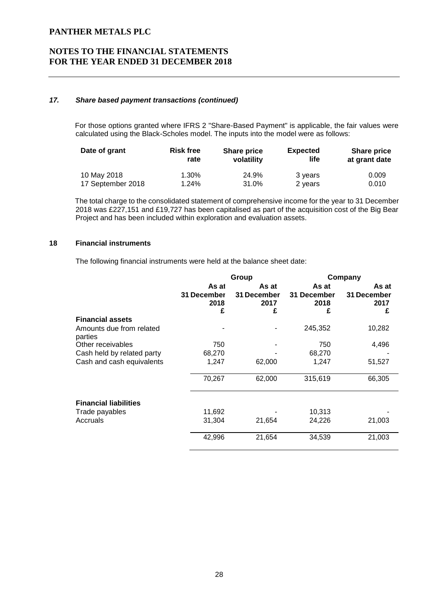# **NOTES TO THE FINANCIAL STATEMENTS FOR THE YEAR ENDED 31 DECEMBER 2018**

## *17. Share based payment transactions (continued)*

For those options granted where IFRS 2 "Share-Based Payment" is applicable, the fair values were calculated using the Black-Scholes model. The inputs into the model were as follows:

| Date of grant     | <b>Risk free</b> | <b>Share price</b> | <b>Expected</b> | <b>Share price</b> |
|-------------------|------------------|--------------------|-----------------|--------------------|
|                   | rate             | volatility         | life            | at grant date      |
| 10 May 2018       | 1.30%            | 24.9%              | 3 years         | 0.009              |
| 17 September 2018 | 1.24%            | 31.0%              | 2 years         | 0.010              |

The total charge to the consolidated statement of comprehensive income for the year to 31 December 2018 was £227,151 and £19,727 has been capitalised as part of the acquisition cost of the Big Bear Project and has been included within exploration and evaluation assets.

## **18 Financial instruments**

The following financial instruments were held at the balance sheet date:

|                                                                              |                                   | Group                             | Company                           |                                   |  |
|------------------------------------------------------------------------------|-----------------------------------|-----------------------------------|-----------------------------------|-----------------------------------|--|
|                                                                              | As at<br>31 December<br>2018<br>£ | As at<br>31 December<br>2017<br>£ | As at<br>31 December<br>2018<br>£ | As at<br>31 December<br>2017<br>£ |  |
| <b>Financial assets</b><br>Amounts due from related<br>parties               |                                   |                                   | 245,352                           | 10,282                            |  |
| Other receivables<br>Cash held by related party<br>Cash and cash equivalents | 750<br>68,270<br>1,247            | 62,000                            | 750<br>68,270<br>1,247            | 4,496<br>51,527                   |  |
|                                                                              | 70,267                            | 62,000                            | 315,619                           | 66,305                            |  |
| <b>Financial liabilities</b><br>Trade payables                               | 11,692                            |                                   | 10,313                            |                                   |  |
| Accruals                                                                     | 31,304                            | 21,654                            | 24,226                            | 21,003                            |  |
|                                                                              | 42,996                            | 21,654                            | 34,539                            | 21,003                            |  |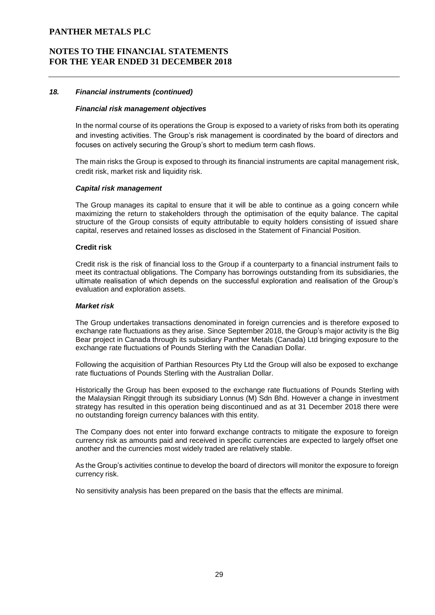# **NOTES TO THE FINANCIAL STATEMENTS FOR THE YEAR ENDED 31 DECEMBER 2018**

## *18. Financial instruments (continued)*

### *Financial risk management objectives*

In the normal course of its operations the Group is exposed to a variety of risks from both its operating and investing activities. The Group's risk management is coordinated by the board of directors and focuses on actively securing the Group's short to medium term cash flows.

The main risks the Group is exposed to through its financial instruments are capital management risk, credit risk, market risk and liquidity risk.

## *Capital risk management*

The Group manages its capital to ensure that it will be able to continue as a going concern while maximizing the return to stakeholders through the optimisation of the equity balance. The capital structure of the Group consists of equity attributable to equity holders consisting of issued share capital, reserves and retained losses as disclosed in the Statement of Financial Position.

## **Credit risk**

Credit risk is the risk of financial loss to the Group if a counterparty to a financial instrument fails to meet its contractual obligations. The Company has borrowings outstanding from its subsidiaries, the ultimate realisation of which depends on the successful exploration and realisation of the Group's evaluation and exploration assets.

## *Market risk*

The Group undertakes transactions denominated in foreign currencies and is therefore exposed to exchange rate fluctuations as they arise. Since September 2018, the Group's major activity is the Big Bear project in Canada through its subsidiary Panther Metals (Canada) Ltd bringing exposure to the exchange rate fluctuations of Pounds Sterling with the Canadian Dollar.

Following the acquisition of Parthian Resources Pty Ltd the Group will also be exposed to exchange rate fluctuations of Pounds Sterling with the Australian Dollar.

Historically the Group has been exposed to the exchange rate fluctuations of Pounds Sterling with the Malaysian Ringgit through its subsidiary Lonnus (M) Sdn Bhd. However a change in investment strategy has resulted in this operation being discontinued and as at 31 December 2018 there were no outstanding foreign currency balances with this entity.

The Company does not enter into forward exchange contracts to mitigate the exposure to foreign currency risk as amounts paid and received in specific currencies are expected to largely offset one another and the currencies most widely traded are relatively stable.

As the Group's activities continue to develop the board of directors will monitor the exposure to foreign currency risk.

No sensitivity analysis has been prepared on the basis that the effects are minimal.